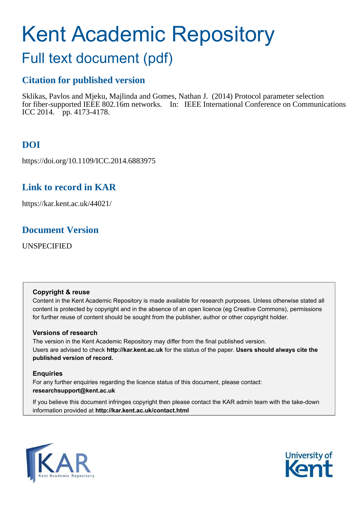# Kent Academic Repository

# Full text document (pdf)

## **Citation for published version**

Sklikas, Pavlos and Mjeku, Majlinda and Gomes, Nathan J. (2014) Protocol parameter selection for fiber-supported IEEE 802.16m networks. In: IEEE International Conference on Communications ICC 2014. pp. 4173-4178.

# **DOI**

https://doi.org/10.1109/ICC.2014.6883975

## **Link to record in KAR**

https://kar.kent.ac.uk/44021/

### **Document Version**

UNSPECIFIED

#### **Copyright & reuse**

Content in the Kent Academic Repository is made available for research purposes. Unless otherwise stated all content is protected by copyright and in the absence of an open licence (eg Creative Commons), permissions for further reuse of content should be sought from the publisher, author or other copyright holder.

#### **Versions of research**

The version in the Kent Academic Repository may differ from the final published version. Users are advised to check **http://kar.kent.ac.uk** for the status of the paper. **Users should always cite the published version of record.**

#### **Enquiries**

For any further enquiries regarding the licence status of this document, please contact: **researchsupport@kent.ac.uk**

If you believe this document infringes copyright then please contact the KAR admin team with the take-down information provided at **http://kar.kent.ac.uk/contact.html**



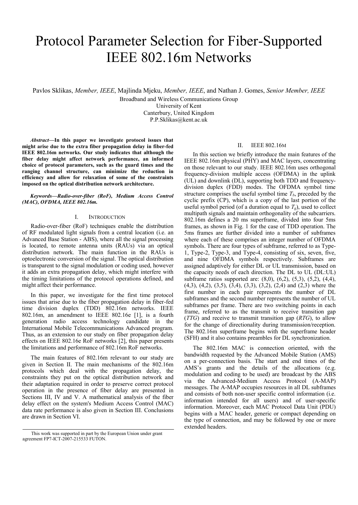# Protocol Parameter Selection for Fiber-Supported IEEE 802.16m Networks

Pavlos Sklikas, *Member, IEEE*, Majlinda Mjeku, *Member, IEEE*, and Nathan J. Gomes, *Senior Member, IEEE*

Broadband and Wireless Communications Group University of Kent Canterbury, United Kingdom P.P.Sklikas@kent.ac.uk

*Abstract***—In this paper we investigate protocol issues that might arise due to the extra fiber propagation delay in fiber-fed IEEE 802.16m networks. Our study indicates that although the fiber delay might affect network performance, an informed choice of protocol parameters, such as the guard times and the ranging channel structure, can minimize the reduction in efficiency and allow for relaxation of some of the constraints imposed on the optical distribution network architecture.** 

#### *Keywords—Radio-over-fiber (RoF), Medium Access Control (MAC), OFDMA, IEEE 802.16m.*

#### I. INTRODUCTION

Radio-over-fiber (RoF) techniques enable the distribution of RF modulated light signals from a central location (i.e. an Advanced Base Station - ABS), where all the signal processing is located, to remote antenna units (RAUs) via an optical distribution network. The main function in the RAUs is optoelectronic conversion of the signal. The optical distribution is transparent to the signal modulation or coding used, however it adds an extra propagation delay, which might interfere with the timing limitations of the protocol operations defined, and might affect their performance.

In this paper, we investigate for the first time protocol issues that arise due to the fiber propagation delay in fiber-fed time division duplex (TDD) 802.16m networks. IEEE 802.16m, an amendment to IEEE 802.16e [1], is a fourth generation radio access technology candidate in the International Mobile Telecommunications Advanced program. Thus, as an extension to our study on fiber propagation delay effects on IEEE 802.16e RoF networks [2], this paper presents the limitations and performance of 802.16m RoF networks.

The main features of 802.16m relevant to our study are given in Section II. The main mechanisms of the 802.16m protocols which deal with the propagation delay, the constraints they put on the optical distribution network and their adaptation required in order to preserve correct protocol operation in the presence of fiber delay are presented in Sections III, IV and V. A mathematical analysis of the fiber delay effect on the system's Medium Access Control (MAC) data rate performance is also given in Section III. Conclusions are drawn in Section VI.

#### II. IEEE 802.16M

In this section we briefly introduce the main features of the IEEE 802.16m physical (PHY) and MAC layers, concentrating on those relevant to our study. IEEE 802.16m uses orthogonal frequency-division multiple access (OFDMA) in the uplink (UL) and downlink (DL), supporting both TDD and frequencydivision duplex (FDD) modes. The OFDMA symbol time structure comprises the useful symbol time  $T_b$ , preceded by the cyclic prefix (CP), which is a copy of the last portion of the useful symbol period (of a duration equal to  $T_g$ ), used to collect multipath signals and maintain orthogonality of the subcarriers. 802.16m defines a 20 ms superframe, divided into four 5ms frames, as shown in Fig. 1 for the case of TDD operation. The 5ms frames are further divided into a number of subframes where each of these comprises an integer number of OFDMA symbols. There are four types of subframe, referred to as Type-1, Type-2, Type-3, and Type-4, consisting of six, seven, five, and nine OFDMA symbols respectively. Subframes are assigned adaptively for either DL or UL transmission, based on the capacity needs of each direction. The DL to UL (DL:UL) subframe ratios supported are: (8,0), (6,2), (5,3), (5,2), (4,4), (4,3), (4,2), (3,5), (3,4), (3,3), (3,2), (2,4) and (2,3) where the first number in each pair represents the number of DL subframes and the second number represents the number of UL subframes per frame. There are two switching points in each frame, referred to as the transmit to receive transition gap (*TTG*) and receive to transmit transition gap (*RTG*), to allow for the change of directionality during transmission/reception. The 802.16m superframe begins with the superframe header (SFH) and it also contains preambles for DL synchronization.

The 802.16m MAC is connection oriented, with the bandwidth requested by the Advanced Mobile Station (AMS) on a per-connection basis. The start and end times of the AMS's grants and the details of the allocations (e.g. modulation and coding to be used) are broadcast by the ABS via the Advanced-Medium Access Protocol (A-MAP) messages. The A-MAP occupies resources in all DL subframes and consists of both non-user specific control information (i.e. information intended for all users) and of user-specific information. Moreover, each MAC Protocol Data Unit (PDU) begins with a MAC header, generic or compact depending on the type of connection, and may be followed by one or more extended headers.

This work was supported in part by the European Union under grant agreement FP7-ICT-2007-215533 FUTON.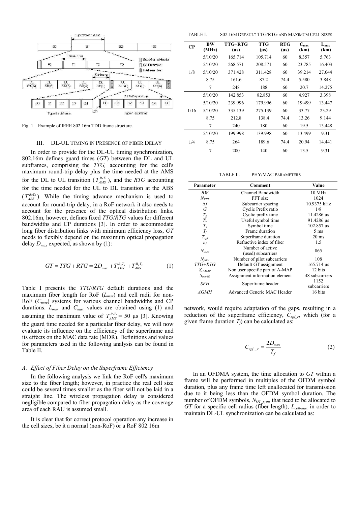

Fig. 1. Example of IEEE 802.16m TDD frame structure.

#### III. DL-UL TIMING IN PRESENCE OF FIBER DELAY

In order to provide for the DL-UL timing synchronization, 802.16m defines guard times (*GT*) between the DL and UL subframes, comprising the *TTG,* accounting for the cell's maximum round-trip delay plus the time needed at the AMS for the DL to UL transition ( $T_{AMS}^{RxTx}$ ), and the *RTG* accounting for the time needed for the UL to DL transition at the ABS  $(T_{ABS}^{RxTx})$ . While the timing advance mechanism is used to account for round-trip delay, in a RoF network it also needs to account for the presence of the optical distribution links. 802.16m, however, defines fixed *TTG*/*RTG* values for different bandwidths and CP durations [3]. In order to accommodate long fiber distribution links with minimum efficiency loss, *GT* needs to flexibly depend on the maximum optical propagation delay  $D_{max}$  expected, as shown by (1):

$$
GT = TTG + RTG = 2D_{\text{max}} + T_{\text{AMS}}^{R_x T_x} + T_{\text{ABS}}^{R_x T_x}
$$
 (1)

Table I presents the *TTG*/*RTG* default durations and the maximum fiber length for RoF (*Lmax*) and cell radii for non-RoF (*Cmax*) systems for various channel bandwidths and CP durations. *Lmax* and *Cmax* values are obtained using (1) and assuming the maximum value of  $T_{AMS}^{R, Tx} = 50 \text{ }\mu\text{s}$  [3]. Knowing the guard time needed for a particular fiber delay, we will now evaluate its influence on the efficiency of the superframe and its effects on the MAC data rate (MDR). Definitions and values for parameters used in the following analysis can be found in Table II.

#### *A. Effect of Fiber Delay on the Superframe Efficiency*

In the following analysis we link the RoF cell's maximum size to the fiber length; however, in practice the real cell size could be several times smaller as the fiber will not be laid in a straight line. The wireless propagation delay is considered negligible compared to fiber propagation delay as the coverage area of each RAU is assumed small.

It is clear that for correct protocol operation any increase in the cell sizes, be it a normal (non-RoF) or a RoF 802.16m

TABLE I. 802.16M DEFAULT TTG/RTG AND MAXIMUM CELL SIZES

| $\bf CP$ | BW<br>(MHz) | TTG+RTG<br>$(\mu s)$ | <b>TTG</b><br>$(\mu s)$ | <b>RTG</b><br>$(\mu s)$ | $C_{max}$<br>(km) | $L_{max}$<br>(km) |
|----------|-------------|----------------------|-------------------------|-------------------------|-------------------|-------------------|
|          | 5/10/20     | 165.714              | 105.714                 | 60                      | 8.357             | 5.763             |
|          | 5/10/20     | 268.571              | 208.571                 | 60                      | 23.785            | 16.403            |
| 1/8      | 5/10/20     | 371.428              | 311.428                 | 60                      | 39.214            | 27.044            |
|          | 8.75        | 161.6                | 87.2                    | 74.4                    | 5.580             | 3.848             |
|          | 7           | 248                  | 188                     | 60                      | 20.7              | 14.275            |
|          | 5/10/20     | 142.853              | 82.853                  | 60                      | 4.927             | 3.398             |
|          | 5/10/20     | 239.996              | 179.996                 | 60                      | 19.499            | 13.447            |
| 1/16     | 5/10/20     | 335.139              | 275.139                 | 60                      | 33.77             | 23.29             |
|          | 8.75        | 212.8                | 138.4                   | 74.4                    | 13.26             | 9.144             |
|          | 7           | 240                  | 180                     | 60                      | 19.5              | 13.448            |
|          | 5/10/20     | 199.998              | 139.998                 | 60                      | 13.499            | 9.31              |
| 1/4      | 8.75        | 264                  | 189.6                   | 74.4                    | 20.94             | 14.441            |
|          | 7           | 200                  | 140                     | 60                      | 13.5              | 9.31              |

TABLE II. PHY/MAC PARAMETERS

| Parameter        | Comment                         | Value             |
|------------------|---------------------------------|-------------------|
| BW               | Channel Bandwidth               | 10 MHz            |
| $N_{FFT}$        | FFT size                        | 1024              |
| $\Delta f$       | Subcarrier spacing              | 10.9375 kHz       |
| G                | Cyclic Prefix ratio             | 1/8               |
| $T_g$            | Cyclic prefix time              | 11.4286 µs        |
| $T_b$            | Useful symbol time              | 91.4286 µs        |
| $T_{s}$          | Symbol time                     | 102.857 µs        |
| $T_f$            | Frame duration                  | $5 \text{ ms}$    |
| $T_{\text{spf}}$ | Superframe duration             | $20 \text{ ms}$   |
| $n_f$            | Refractive index of fiber       | 1.5               |
| $N_{used}$       | Number of active                | 865               |
|                  | (used) subcarriers              |                   |
| $N_{pilot}$      | Number of pilot subcarriers     | 108               |
| $TTG+RTG$        | Default GT assignment           | $165.714 \,\mu s$ |
| $S_{ct-MAP}$     | Non user specific part of A-MAP | 12 bits           |
| $S_{ass-IE}$     | Assignment information element  | 48 subcarriers    |
| SFH              | Superframe header               | 1152              |
|                  |                                 | subcarriers       |
| <i>AGMH</i>      | Advanced Generic MAC Header     | 16 bits           |

network, would require adaptation of the gaps, resulting in a reduction of the superframe efficiency,  $C_{spf_r}$ , which (for a given frame duration  $T_f$ ) can be calculated as:

$$
C_{spf_{-}r} = \frac{2D_{\text{max}}}{T_f} \tag{2}
$$

In an OFDMA system, the time allocation to *GT* within a frame will be performed in multiples of the OFDM symbol duration, plus any frame time left unallocated for transmission due to it being less than the OFDM symbol duration. The number of OFDM symbols, *NGT\_sym*, that need to be allocated to *GT* for a specific cell radius (fiber length), *Lcell-max* in order to maintain DL-UL synchronization can be calculated as: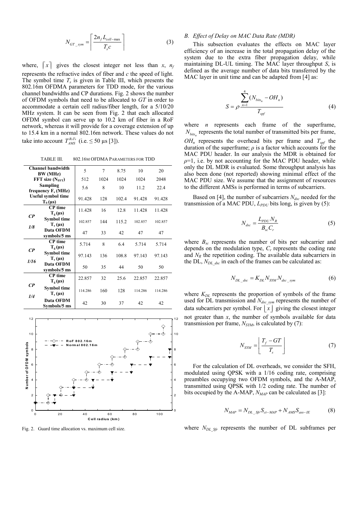$$
N_{GT\_sym} = \left\lceil \frac{2n_f L_{cell-max}}{T_s c} \right\rceil \tag{3}
$$

where,  $\lceil x \rceil$  gives the closest integer not less than *x*,  $n_f$ represents the refractive index of fiber and *c* the speed of light. The symbol time  $T_s$  is given in Table III, which presents the 802.16m OFDMA parameters for TDD mode, for the various channel bandwidths and CP durations. Fig. 2 shows the number of OFDM symbols that need to be allocated to *GT* in order to accommodate a certain cell radius/fiber length, for a 5/10/20 MHz system. It can be seen from Fig. 2 that each allocated OFDM symbol can serve up to 10.2 km of fiber in a RoF network, whereas it will provide for a coverage extension of up to 15.4 km in a normal 802.16m network. These values do not take into account  $T_{AMS}^{RxT_x}$  (i.e.  $\leq$  50 µs [3]).

TABLE III. 802.16M OFDMA PARAMETERS FOR TDD

|                | Channel bandwidth                           | 5       | 7    | 8.75  | 10      | 20      |
|----------------|---------------------------------------------|---------|------|-------|---------|---------|
|                | BW (MHz)<br>$FFT$ size $(NFFT)$             | 512     | 1024 | 1024  | 1024    | 2048    |
|                | Sampling<br>frequency $F_s(MHz)$            | 5.6     | 8    | 10    | 11.2    | 22.4    |
|                | <b>Useful symbol time</b><br>$T_{b}(\mu s)$ | 91.428  | 128  | 102.4 | 91.428  | 91.428  |
|                | <b>CP</b> time<br>$T_g(\mu s)$              | 11.428  | 16   | 12.8  | 11.428  | 11.428  |
| $\mathbb{C}P$  | Symbol time<br>$T_s(\mu s)$                 | 102857  | 144  | 115.2 | 102.857 | 102.857 |
| 1/8            | Data OFDM<br>symbols/5 ms                   | 47      | 33   | 42    | 47      | 47      |
|                | <b>CP</b> time<br>$T_{g}(\mu s)$            | 5.714   | 8    | 6.4   | 5.714   | 5.714   |
| $\mathcal{C}P$ | <b>Symbol time</b><br>$T_s(\mu s)$          | 97.143  | 136  | 108.8 | 97.143  | 97.143  |
| 1/16           | Data OFDM<br>symbols/5 ms                   | 50      | 35   | 44    | 50      | 50      |
|                | <b>CP</b> time<br>$T_{g}(\mu s)$            | 22.857  | 32   | 25.6  | 22.857  | 22.857  |
| CP             | <b>Symbol time</b><br>$T_s(\mu s)$          | 114 286 | 160  | 128   | 114.286 | 114.286 |
| 1/4            | Data OFDM<br>Symbols/5 ms                   | 42      | 30   | 37    | 42      | 42      |



Fig. 2. Guard time allocation vs. maximum cell size.

#### *B. Effect of Delay on MAC Data Rate (MDR)*

This subsection evaluates the effects on MAC layer efficiency of an increase in the total propagation delay of the system due to the extra fiber propagation delay, while maintaining DL-UL timing. The MAC layer throughput *S*, is defined as the average number of data bits transferred by the MAC layer in unit time and can be adapted from [4] as:

$$
S = \rho \frac{\sum_{n=1}^{4} (N_{bits_n} - OH_n)}{T_{spf}}
$$
 (4)

where *n* represents each frame of the superframe,  $N_{\text{bias}_n}$  represents the total number of transmitted bits per frame,  $OH<sub>n</sub>$  represents the overhead bits per frame and  $T<sub>spf</sub>$  the duration of the superframe;  $\rho$  is a factor which accounts for the MAC PDU header. In our analysis the MDR is obtained for  $\rho=1$ , i.e. by not accounting for the MAC PDU header, while only the DL MDR is evaluated. Some throughput analysis has also been done (not reported) showing minimal effect of the MAC PDU size. We assume that the assignment of resources to the different AMSs is performed in terms of subcarriers.

Based on [4], the number of subcarriers *Ndsc* needed for the transmission of a MAC PDU, *L<sub>PDU</sub>* bits long, is given by (5):

$$
N_{\text{dsc}} = \frac{L_{\text{PDU}} N_R}{B_{\text{sc}} C_r} \tag{5}
$$

where  $B_{sc}$  represents the number of bits per subcarrier and depends on the modulation type,  $C_r$  represents the coding rate and  $N_R$  the repetition coding. The available data subcarriers in the DL, *NDL\_dsc* in each of the frames can be calculated as:

$$
N_{DL\_dsc} = K_{DL} N_{SYM} N_{dsc\_sym} \tag{6}
$$

where  $K_{DL}$  represents the proportion of symbols of the frame used for DL transmission and *Ndsc\_sym* represents the number of data subcarriers per symbol. For  $|x|$  giving the closest integer not greater than *x*, the number of symbols available for data transmission per frame, *NSYM*, is calculated by (7):

$$
N_{STM} = \left[ \frac{T_f - GT}{T_s} \right] \tag{7}
$$

For the calculation of DL overheads, we consider the SFH, modulated using QPSK with a 1/16 coding rate, comprising preambles occupying two OFDM symbols, and the A-MAP, transmitted using QPSK with 1/2 coding rate. The number of bits occupied by the A-MAP, *NMAP* can be calculated as [3]:

$$
N_{MAP} = N_{DL\_Sf} S_{ct-MAP} + N_{AMS} S_{ass-IE}
$$
 (8)

where  $N_{DL\,Sf}$  represents the number of DL subframes per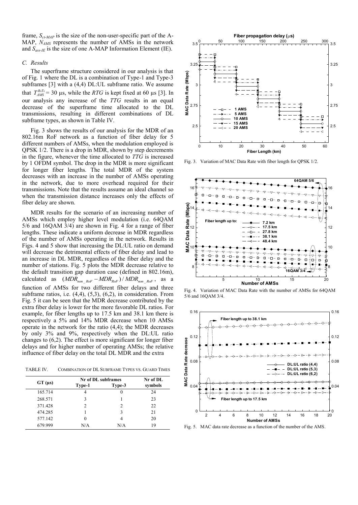frame, *Sct-MAP* is the size of the non-user-specific part of the A-MAP, *NAMS* represents the number of AMSs in the network and  $S_{ass-IE}$  is the size of one A-MAP Information Element (IE).

#### *C. Results*

The superframe structure considered in our analysis is that of Fig. 1 where the DL is a combination of Type-1 and Type-3 subframes [3] with a (4,4) DL:UL subframe ratio. We assume that  $T_{AMS}^{RxTx} = 30 \text{ }\mu\text{s}$ , while the *RTG* is kept fixed at 60  $\mu\text{s}$  [3]. In our analysis any increase of the *TTG* results in an equal decrease of the superframe time allocated to the DL transmissions, resulting in different combinations of DL subframe types, as shown in Table IV.

Fig. 3 shows the results of our analysis for the MDR of an 802.16m RoF network as a function of fiber delay for 5 different numbers of AMSs, when the modulation employed is QPSK 1/2. There is a drop in MDR, shown by step decrements in the figure, whenever the time allocated to *TTG* is increased by 1 OFDM symbol. The drop in the MDR is more significant for longer fiber lengths. The total MDR of the system decreases with an increase in the number of AMSs operating in the network, due to more overhead required for their transmissions. Note that the results assume an ideal channel so when the transmission distance increases only the effects of fiber delay are shown.

MDR results for the scenario of an increasing number of AMSs which employ higher level modulation (i.e. 64QAM 5/6 and 16QAM 3/4) are shown in Fig. 4 for a range of fiber lengths. These indicate a uniform decrease in MDR regardless of the number of AMSs operating in the network. Results in Figs. 4 and 5 show that increasing the DL:UL ratio on demand will decrease the detrimental effects of fiber delay and lead to an increase in DL MDR, regardless of the fiber delay and the number of stations. Fig. 5 plots the MDR decrease relative to the default transition gap duration case (defined in 802.16m), calculated as  $(MDR_{non\_Rof} - MDR_{RoF}) / MDR_{non\_RoF}$ , as a function of AMSs for two different fiber delays and three subframe ratios, i.e. (4,4), (5,3), (6,2), in consideration. From Fig. 5 it can be seen that the MDR decrease contributed by the extra fiber delay is lower for the more favorable DL ratios. For example, for fiber lengths up to 17.5 km and 38.1 km there is respectively a 5% and 14% MDR decrease when 10 AMSs operate in the network for the ratio (4,4); the MDR decreases by only 3% and 9%, respectively when the DL:UL ratio changes to (6,2). The effect is more significant for longer fiber delays and for higher number of operating AMSs; the relative influence of fiber delay on the total DL MDR and the extra

TABLE IV. COMBINATION OF DL SUBFRAME TYPES VS. GUARD TIMES

|         |          | Nr of DL subframes | Nr of DL |
|---------|----------|--------------------|----------|
| GT (µs) | Type-1   | Type-3             | symbols  |
| 165.714 | 4        | $\theta$           | 24       |
| 268.571 |          |                    | 23       |
| 371.428 | 2        | $\mathfrak{D}$     | 22       |
| 474.285 |          | 3                  | 21       |
| 577.142 | $\Omega$ |                    | 20       |
| 679.999 | N/A      | N/A                | 19       |



Fig. 3. Variation of MAC Data Rate with fiber length for QPSK 1/2.



Fig. 4. Variation of MAC Data Rate with the number of AMSs for 64QAM 5/6 and 16QAM 3/4.



Fig. 5. MAC data rate decrease as a function of the number of the AMS.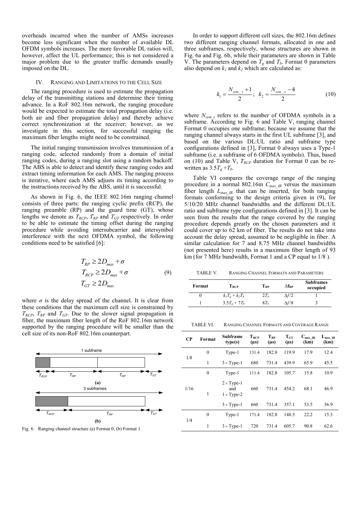overheads incurred when the number of AMSs increases become less significant when the number of available DL OFDM symbols increases. The more favorable DL ratios will, however, affect the UL performance; this is not considered a major problem due to the greater traffic demands usually imposed on the DL.

#### IV. RANGING AND LIMITATIONS TO THE CELL SIZE

The ranging procedure is used to estimate the propagation delay of the transmitting stations and determine their timing advance. In a RoF 802.16m network, the ranging procedure would be expected to estimate the total propagation delay (i.e. both air and fiber propagation delay) and thereby achieve correct synchronization at the receiver; however, as we investigate in this section, for successful ranging the maximum fiber lengths might need to be constrained.

The initial ranging transmission involves transmission of a ranging code, selected randomly from a domain of initial ranging codes, during a ranging slot using a random backoff. The ABS is able to detect and identify these ranging codes and extract timing information for each AMS. The ranging process is iterative, where each AMS adjusts its timing according to the instructions received by the ABS, until it is successful.

As shown in Fig. 6, the IEEE 802.16m ranging channel consists of three parts: the ranging cyclic prefix (RCP), the ranging preamble (RP) and the guard time (GT), whose lengths we denote as  $T_{RCP}$ ,  $T_{RP}$  and  $T_{GT}$  respectively. In order to be able to estimate the timing offset during the ranging procedure while avoiding intersubcarrier and intersymbol interference with the next OFDMA symbol, the following conditions need to be satisfied [6]:

$$
T_{RP} \ge 2D_{max} + \sigma
$$
  
\n
$$
T_{RCP} \ge 2D_{max} + \sigma
$$
  
\n
$$
T_{GT} \ge 2D_{max}
$$
\n(9)

where  $\sigma$  is the delay spread of the channel. It is clear from these conditions that the maximum cell size is constrained by  $T_{RCP}$ ,  $T_{RP}$  and  $T_{GT}$ . Due to the slower signal propagation in fiber, the maximum fiber length of the RoF 802.16m network supported by the ranging procedure will be smaller than the cell size of its non-RoF 802.16m counterpart.



Fig. 6. Ranging channel structure (a) Format 0, (b) Format 1.

In order to support different cell sizes, the 802.16m defines two different ranging channel formats, allocated in one and three subframes, respectively, whose structures are shown in Fig. 6a and Fig. 6b, while their parameters are shown in Table V. The parameters depend on  $T_g$  and  $T_b$ . Format 0 parameters also depend on  $k_1$  and  $k_2$  which are calculated as:

$$
k_1 = \frac{N_{sym\_s} + 1}{2}; \ \ k_2 = \frac{N_{sym\_s} - 4}{2} \tag{10}
$$

where  $N_{sym,s}$  refers to the number of OFDMA symbols in a subframe. According to Fig. 6 and Table V, ranging channel Format 0 occupies one subframe; because we assume that the ranging channel always starts in the first UL subframe [3], and based on the various DL:UL ratio and subframe type configurations defined in [3], Format 0 always uses a Type-1 subframe (i.e. a subframe of 6 OFDMA symbols). Thus, based on (10) and Table V, *TRCP* duration for Format 0 can be rewritten as  $3.5T<sub>g</sub> + T<sub>b</sub>$ .

Table VI compares the coverage range of the ranging procedure in a normal 802.16m *Cmax\_IR* versus the maximum fiber length  $L_{maxIR}$  that can be inserted, for both ranging formats conforming to the design criteria given in (9), for 5/10/20 MHz channel bandwidths and the different DL:UL ratio and subframe type configurations defined in [3]. It can be seen from the results that the range covered by the ranging procedure depends greatly on the chosen parameters and it could cover up to 62 km of fiber. The results do not take into account the delay spread, assumed to be negligible in fiber. A similar calculation for 7 and 8.75 MHz channel bandwidths (not presented here) results in a maximum fiber length of 93 km (for 7 MHz bandwidth, Format 1 and a CP equal to 1/8 ).

TABLE V. RANGING CHANNEL FORMATS AND PARAMETERS

| Format | $\rm T_{\rm RCP}$           | $\Gamma_{\rm RP}$ | $\Delta f_{\rm RP}$ | <b>Subframes</b><br>occupied |
|--------|-----------------------------|-------------------|---------------------|------------------------------|
|        | $k_I T_e + k_2 T_b$         | $2T_h$            | $\Delta f/2$        |                              |
|        | $3.5T_{\rm e} + 7T_{\rm h}$ | $8T_h$            | $\Delta f/8$        |                              |

TABLE VI. RANGING CHANNEL FORMATS AND COVERAGE RANGE

| $\bf CP$ | Format       | Subframe<br>type(s)                           | $T_{RCP}$<br>$(\mu s)$ | $T_{RP}$<br>$(\mu s)$ | $T_{\rm GT}$<br>$(\mu s)$ | $C_{\text{max\_IR}}$<br>(km) | $L_{max\_IR}$<br>(km) |
|----------|--------------|-----------------------------------------------|------------------------|-----------------------|---------------------------|------------------------------|-----------------------|
|          | $\mathbf{0}$ | Type-1                                        | 131.4                  | 182.8                 | 119.9                     | 17.9                         | 12.4                  |
| 1/8      | 1            | $3 \times Type-1$                             | 680                    | 731.4                 | 439.9                     | 65.9                         | 45.5                  |
|          | $\mathbf{0}$ | Type-1                                        | 111.4                  | 182.8                 | 105.7                     | 15.8                         | 10.9                  |
| 1/16     | 1            | $2 \times Type-1$<br>and<br>$1 \times Type-2$ | 660                    | 731.4                 | 454.2                     | 68.1                         | 46.9                  |
|          |              | $3 \times Type-1$                             | 660                    | 731.4                 | 357.1                     | 53.5                         | 36.9                  |
|          | $\theta$     | Type-1                                        | 171.4                  | 182.8                 | 148.5                     | 22.2                         | 15.3                  |
| 1/4      | 1            | $3 \times Type-1$                             | 720                    | 731.4                 | 605.7                     | 90.8                         | 62.6                  |